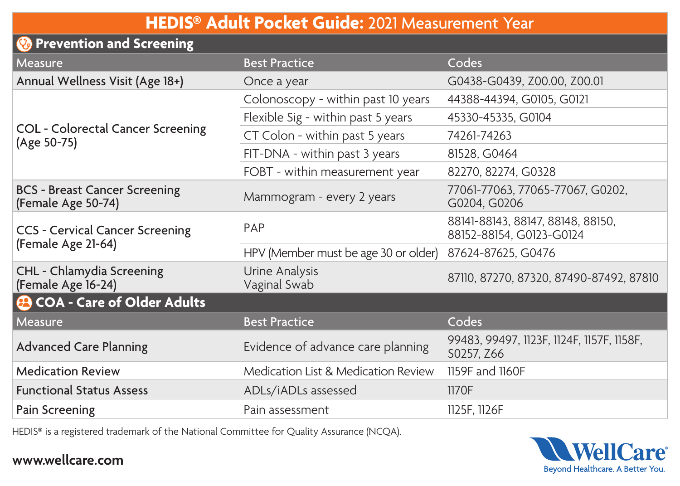## **HEDIS® Adult Pocket Guide:** 2021 Measurement Year

| <b>Prevention and Screening</b>                            |                                      |                                                               |  |
|------------------------------------------------------------|--------------------------------------|---------------------------------------------------------------|--|
| Measure                                                    | <b>Best Practice</b>                 | Codes                                                         |  |
| Annual Wellness Visit (Age 18+)                            | Once a year                          | G0438-G0439, Z00.00, Z00.01                                   |  |
| COL - Colorectal Cancer Screening<br>(Age 50-75)           | Colonoscopy - within past 10 years   | 44388-44394, G0105, G0121                                     |  |
|                                                            | Flexible Sig - within past 5 years   | 45330-45335, G0104                                            |  |
|                                                            | CT Colon - within past 5 years       | 74261-74263                                                   |  |
|                                                            | FIT-DNA - within past 3 years        | 81528, G0464                                                  |  |
|                                                            | FOBT - within measurement year       | 82270, 82274, G0328                                           |  |
| <b>BCS - Breast Cancer Screening</b><br>(Female Age 50-74) | Mammogram - every 2 years            | 77061-77063, 77065-77067, G0202,<br>G0204, G0206              |  |
| CCS - Cervical Cancer Screening<br>(Female Age 21-64)      | PAP                                  | 88141-88143, 88147, 88148, 88150,<br>88152-88154, G0123-G0124 |  |
|                                                            | HPV (Member must be age 30 or older) | 87624-87625, G0476                                            |  |
| CHL - Chlamydia Screening<br>(Female Age 16-24)            | Urine Analysis<br>Vaginal Swab       | 87110, 87270, 87320, 87490-87492, 87810                       |  |
| <b>@ COA - Care of Older Adults</b>                        |                                      |                                                               |  |
| Measure                                                    | <b>Best Practice</b>                 | Codes                                                         |  |
| <b>Advanced Care Planning</b>                              | Evidence of advance care planning    | 99483, 99497, 1123F, 1124F, 1157F, 1158F,<br>S0257, Z66       |  |
| <b>Medication Review</b>                                   | Medication List & Medication Review  | 1159F and 1160F                                               |  |
| <b>Functional Status Assess</b>                            | ADLs/iADLs assessed                  | 1170F                                                         |  |
| Pain Screening                                             | Pain assessment                      | 1125F, 1126F                                                  |  |

HEDIS® is a registered trademark of the National Committee for Quality Assurance (NCQA).



## **www.wellcare.com**